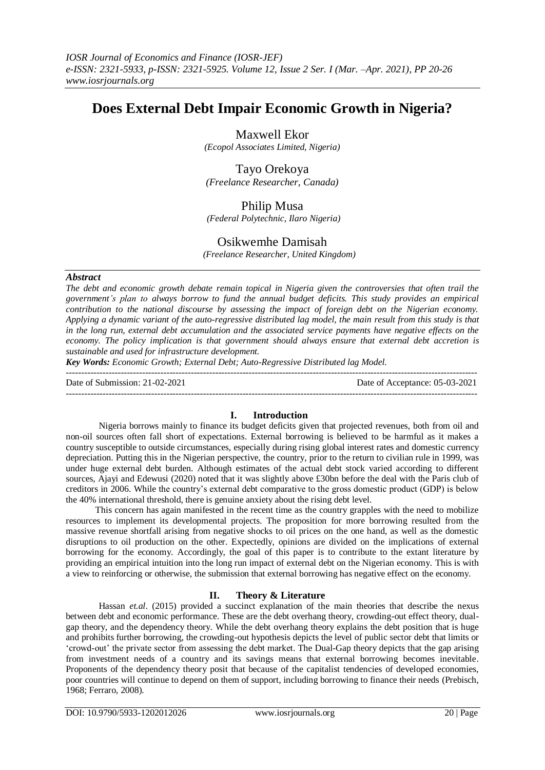# **Does External Debt Impair Economic Growth in Nigeria?**

Maxwell Ekor

*(Ecopol Associates Limited, Nigeria)*

Tayo Orekoya *(Freelance Researcher, Canada)*

# Philip Musa

*(Federal Polytechnic, Ilaro Nigeria)*

# Osikwemhe Damisah

 *(Freelance Researcher, United Kingdom)*

## *Abstract*

*The debt and economic growth debate remain topical in Nigeria given the controversies that often trail the government's plan to always borrow to fund the annual budget deficits. This study provides an empirical contribution to the national discourse by assessing the impact of foreign debt on the Nigerian economy. Applying a dynamic variant of the auto-regressive distributed lag model, the main result from this study is that in the long run, external debt accumulation and the associated service payments have negative effects on the economy. The policy implication is that government should always ensure that external debt accretion is sustainable and used for infrastructure development.*

*Key Words: Economic Growth; External Debt; Auto-Regressive Distributed lag Model.*

--------------------------------------------------------------------------------------------------------------------------------------- Date of Submission: 21-02-2021 Date of Acceptance: 05-03-2021 ---------------------------------------------------------------------------------------------------------------------------------------

## **I. Introduction**

Nigeria borrows mainly to finance its budget deficits given that projected revenues, both from oil and non-oil sources often fall short of expectations. External borrowing is believed to be harmful as it makes a country susceptible to outside circumstances, especially during rising global interest rates and domestic currency depreciation. Putting this in the Nigerian perspective, the country, prior to the return to civilian rule in 1999, was under huge external debt burden. Although estimates of the actual debt stock varied according to different sources, Ajayi and Edewusi (2020) noted that it was slightly above £30bn before the deal with the Paris club of creditors in 2006. While the country's external debt comparative to the gross domestic product (GDP) is below the 40% international threshold, there is genuine anxiety about the rising debt level.

 This concern has again manifested in the recent time as the country grapples with the need to mobilize resources to implement its developmental projects. The proposition for more borrowing resulted from the massive revenue shortfall arising from negative shocks to oil prices on the one hand, as well as the domestic disruptions to oil production on the other. Expectedly, opinions are divided on the implications of external borrowing for the economy. Accordingly, the goal of this paper is to contribute to the extant literature by providing an empirical intuition into the long run impact of external debt on the Nigerian economy. This is with a view to reinforcing or otherwise, the submission that external borrowing has negative effect on the economy.

## **II. Theory & Literature**

Hassan *et.al*. (2015) provided a succinct explanation of the main theories that describe the nexus between debt and economic performance. These are the debt overhang theory, crowding-out effect theory, dualgap theory, and the dependency theory. While the debt overhang theory explains the debt position that is huge and prohibits further borrowing, the crowding-out hypothesis depicts the level of public sector debt that limits or 'crowd-out' the private sector from assessing the debt market. The Dual-Gap theory depicts that the gap arising from investment needs of a country and its savings means that external borrowing becomes inevitable. Proponents of the dependency theory posit that because of the capitalist tendencies of developed economies, poor countries will continue to depend on them of support, including borrowing to finance their needs (Prebisch, 1968; Ferraro, 2008).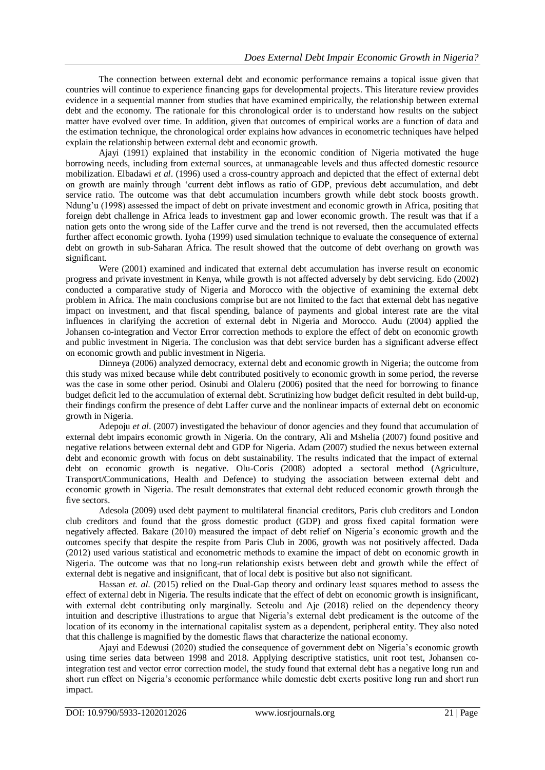The connection between external debt and economic performance remains a topical issue given that countries will continue to experience financing gaps for developmental projects. This literature review provides evidence in a sequential manner from studies that have examined empirically, the relationship between external debt and the economy. The rationale for this chronological order is to understand how results on the subject matter have evolved over time. In addition, given that outcomes of empirical works are a function of data and the estimation technique, the chronological order explains how advances in econometric techniques have helped explain the relationship between external debt and economic growth.

Ajayi (1991) explained that instability in the economic condition of Nigeria motivated the huge borrowing needs, including from external sources, at unmanageable levels and thus affected domestic resource mobilization. Elbadawi *et al*. (1996) used a cross-country approach and depicted that the effect of external debt on growth are mainly through 'current debt inflows as ratio of GDP, previous debt accumulation, and debt service ratio. The outcome was that debt accumulation incumbers growth while debt stock boosts growth. Ndung'u (1998) assessed the impact of debt on private investment and economic growth in Africa, positing that foreign debt challenge in Africa leads to investment gap and lower economic growth. The result was that if a nation gets onto the wrong side of the Laffer curve and the trend is not reversed, then the accumulated effects further affect economic growth. Iyoha (1999) used simulation technique to evaluate the consequence of external debt on growth in sub-Saharan Africa. The result showed that the outcome of debt overhang on growth was significant.

Were (2001) examined and indicated that external debt accumulation has inverse result on economic progress and private investment in Kenya, while growth is not affected adversely by debt servicing. Edo (2002) conducted a comparative study of Nigeria and Morocco with the objective of examining the external debt problem in Africa. The main conclusions comprise but are not limited to the fact that external debt has negative impact on investment, and that fiscal spending, balance of payments and global interest rate are the vital influences in clarifying the accretion of external debt in Nigeria and Morocco. Audu (2004) applied the Johansen co-integration and Vector Error correction methods to explore the effect of debt on economic growth and public investment in Nigeria. The conclusion was that debt service burden has a significant adverse effect on economic growth and public investment in Nigeria.

Dinneya (2006) analyzed democracy, external debt and economic growth in Nigeria; the outcome from this study was mixed because while debt contributed positively to economic growth in some period, the reverse was the case in some other period. Osinubi and Olaleru (2006) posited that the need for borrowing to finance budget deficit led to the accumulation of external debt. Scrutinizing how budget deficit resulted in debt build-up, their findings confirm the presence of debt Laffer curve and the nonlinear impacts of external debt on economic growth in Nigeria.

Adepoju *et al*. (2007) investigated the behaviour of donor agencies and they found that accumulation of external debt impairs economic growth in Nigeria. On the contrary, Ali and Mshelia (2007) found positive and negative relations between external debt and GDP for Nigeria. Adam (2007) studied the nexus between external debt and economic growth with focus on debt sustainability. The results indicated that the impact of external debt on economic growth is negative. Olu-Coris (2008) adopted a sectoral method (Agriculture, Transport/Communications, Health and Defence) to studying the association between external debt and economic growth in Nigeria. The result demonstrates that external debt reduced economic growth through the five sectors.

Adesola (2009) used debt payment to multilateral financial creditors, Paris club creditors and London club creditors and found that the gross domestic product (GDP) and gross fixed capital formation were negatively affected. Bakare (2010) measured the impact of debt relief on Nigeria's economic growth and the outcomes specify that despite the respite from Paris Club in 2006, growth was not positively affected. Dada (2012) used various statistical and econometric methods to examine the impact of debt on economic growth in Nigeria. The outcome was that no long-run relationship exists between debt and growth while the effect of external debt is negative and insignificant, that of local debt is positive but also not significant.

Hassan *et. al*. (2015) relied on the Dual-Gap theory and ordinary least squares method to assess the effect of external debt in Nigeria. The results indicate that the effect of debt on economic growth is insignificant, with external debt contributing only marginally. Seteolu and Aje (2018) relied on the dependency theory intuition and descriptive illustrations to argue that Nigeria's external debt predicament is the outcome of the location of its economy in the international capitalist system as a dependent, peripheral entity. They also noted that this challenge is magnified by the domestic flaws that characterize the national economy.

Ajayi and Edewusi (2020) studied the consequence of government debt on Nigeria's economic growth using time series data between 1998 and 2018. Applying descriptive statistics, unit root test, Johansen cointegration test and vector error correction model, the study found that external debt has a negative long run and short run effect on Nigeria's economic performance while domestic debt exerts positive long run and short run impact.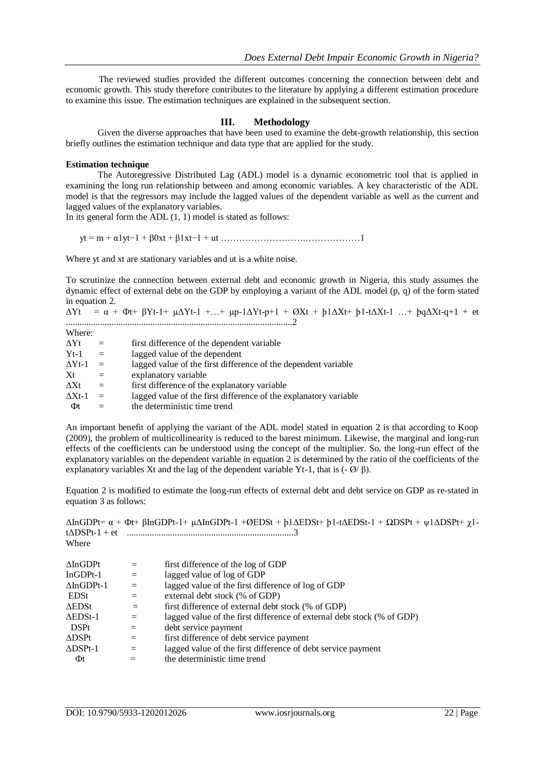The reviewed studies provided the different outcomes concerning the connection between debt and economic growth. This study therefore contributes to the literature by applying a different estimation procedure to examine this issue. The estimation techniques are explained in the subsequent section.

## **III. Methodology**

 Given the diverse approaches that have been used to examine the debt-growth relationship, this section briefly outlines the estimation technique and data type that are applied for the study.

## **Estimation technique**

 The Autoregressive Distributed Lag (ADL) model is a dynamic econometric tool that is applied in examining the long run relationship between and among economic variables. A key characteristic of the ADL model is that the regressors may include the lagged values of the dependent variable as well as the current and lagged values of the explanatory variables.

In its general form the  $ADL(1, 1)$  model is stated as follows:

yt = m + α1yt−1 + β0xt + β1xt−1 + ut ……………………….………………1

Where yt and xt are stationary variables and ut is a white noise.

To scrutinize the connection between external debt and economic growth in Nigeria, this study assumes the dynamic effect of external debt on the GDP by employing a variant of the ADL model (p, q) of the form stated in equation 2.

 $\Delta Yt = \alpha + \Phi t + \beta Yt - 1 + \mu \Delta Yt - 1 + ... + \mu p - 1 \Delta Yt - p + 1 + \Theta Xt + \beta 1 \Delta Xt + \beta 1 - \lambda Xt - 1 + \mu \Theta \Delta Xt - q + 1 + \epsilon t$ ...................................................................................................2

| Where:          |     |                                                                  |
|-----------------|-----|------------------------------------------------------------------|
| ∆Yt             | $=$ | first difference of the dependent variable                       |
| $Yt-1$          | $=$ | lagged value of the dependent                                    |
| $\Delta Y t$ -1 | $=$ | lagged value of the first difference of the dependent variable   |
| Xt              | $=$ | explanatory variable                                             |
| $\Delta Xt$     | $=$ | first difference of the explanatory variable                     |
| $\Delta X t$ -1 | $=$ | lagged value of the first difference of the explanatory variable |
| Φt              |     | the deterministic time trend                                     |

An important benefit of applying the variant of the ADL model stated in equation 2 is that according to Koop (2009), the problem of multicollinearity is reduced to the barest minimum. Likewise, the marginal and long-run effects of the coefficients can be understood using the concept of the multiplier. So, the long-run effect of the explanatory variables on the dependent variable in equation 2 is determined by the ratio of the coefficients of the explanatory variables Xt and the lag of the dependent variable Yt-1, that is  $(-\emptyset/\emptyset)$ .

Equation 2 is modified to estimate the long-run effects of external debt and debt service on GDP as re-stated in equation 3 as follows:

|                    |     | $\Delta InGDP$ t= $\alpha$ + $\Phi$ t+ $\beta InGDP$ t-1+ $\mu\Delta InGDP$ t-1 + $\emptyset$ EDSt + $\beta$ 1 $\Delta$ EDSt+ $\beta$ 1-t $\Delta$ EDSt-1 + $\Omega$ DSPt + $\psi$ 1 $\Delta$ DSPt+ $\chi$ 1- |
|--------------------|-----|---------------------------------------------------------------------------------------------------------------------------------------------------------------------------------------------------------------|
|                    |     |                                                                                                                                                                                                               |
| Where              |     |                                                                                                                                                                                                               |
| $\Delta$ InGDPt    | $=$ | first difference of the log of GDP                                                                                                                                                                            |
| $InGDPt-1$         | $=$ | lagged value of log of GDP                                                                                                                                                                                    |
| $\Delta$ InGDPt-1  | $=$ | lagged value of the first difference of log of GDP                                                                                                                                                            |
| EDSt               | $=$ | external debt stock (% of GDP)                                                                                                                                                                                |
| $\Delta$ EDSt      | $=$ | first difference of external debt stock (% of GDP)                                                                                                                                                            |
| $\triangle EDSt-1$ | $=$ | lagged value of the first difference of external debt stock (% of GDP)                                                                                                                                        |
| <b>DSPt</b>        | $=$ | debt service payment                                                                                                                                                                                          |
| $\Delta$ DSPt      | $=$ | first difference of debt service payment                                                                                                                                                                      |
| $\triangle$ DSPt-1 | $=$ | lagged value of the first difference of debt service payment                                                                                                                                                  |
| Φt                 | $=$ | the deterministic time trend                                                                                                                                                                                  |
|                    |     |                                                                                                                                                                                                               |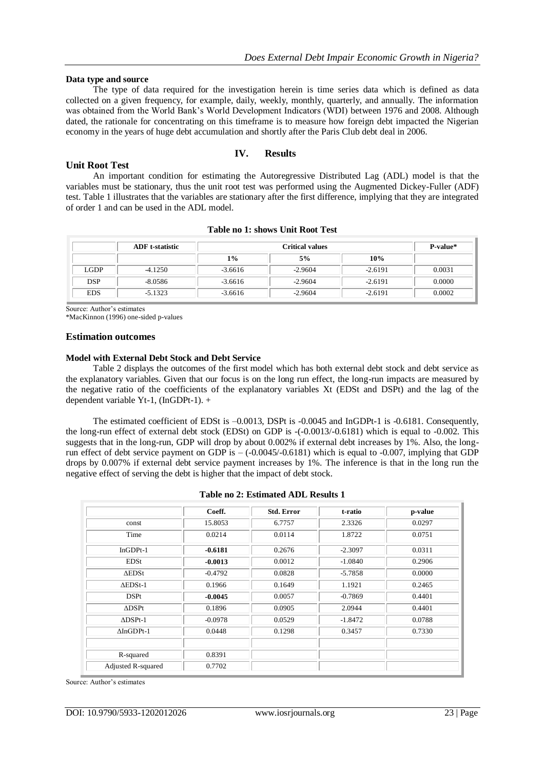## **Data type and source**

 The type of data required for the investigation herein is time series data which is defined as data collected on a given frequency, for example, daily, weekly, monthly, quarterly, and annually. The information was obtained from the World Bank's World Development Indicators (WDI) between 1976 and 2008. Although dated, the rationale for concentrating on this timeframe is to measure how foreign debt impacted the Nigerian economy in the years of huge debt accumulation and shortly after the Paris Club debt deal in 2006.

## **IV. Results**

## **Unit Root Test**

 An important condition for estimating the Autoregressive Distributed Lag (ADL) model is that the variables must be stationary, thus the unit root test was performed using the Augmented Dickey-Fuller (ADF) test. Table 1 illustrates that the variables are stationary after the first difference, implying that they are integrated of order 1 and can be used in the ADL model.

|             | <b>ADF</b> t-statistic | <b>Critical values</b> |           |           | P-value* |
|-------------|------------------------|------------------------|-----------|-----------|----------|
|             |                        | $1\%$                  | 5%        | 10%       |          |
| <b>LGDP</b> | $-4.1250$              | $-3.6616$              | $-2.9604$ | $-2.6191$ | 0.0031   |
| <b>DSP</b>  | $-8.0586$              | $-3.6616$              | $-2.9604$ | $-2.6191$ | 0.0000   |
| <b>EDS</b>  | $-5.1323$              | $-3.6616$              | $-2.9604$ | $-2.6191$ | 0.0002   |

## **Table no 1: shows Unit Root Test**

Source: Author's estimates

\*MacKinnon (1996) one-sided p-values

#### **Estimation outcomes**

#### **Model with External Debt Stock and Debt Service**

 Table 2 displays the outcomes of the first model which has both external debt stock and debt service as the explanatory variables. Given that our focus is on the long run effect, the long-run impacts are measured by the negative ratio of the coefficients of the explanatory variables Xt (EDSt and DSPt) and the lag of the dependent variable Yt-1, (InGDPt-1). +

 The estimated coefficient of EDSt is –0.0013, DSPt is -0.0045 and InGDPt-1 is -0.6181. Consequently, the long-run effect of external debt stock (EDSt) on GDP is -(-0.0013/-0.6181) which is equal to -0.002. This suggests that in the long-run, GDP will drop by about 0.002% if external debt increases by 1%. Also, the longrun effect of debt service payment on GDP is  $-(-0.0045/-0.6181)$  which is equal to  $-0.007$ , implying that GDP drops by 0.007% if external debt service payment increases by 1%. The inference is that in the long run the negative effect of serving the debt is higher that the impact of debt stock.

| Table no 2: Estimated ADL Results 1 |  |  |  |  |
|-------------------------------------|--|--|--|--|
|-------------------------------------|--|--|--|--|

|                    | Coeff.    | <b>Std. Error</b> | t-ratio   | p-value |
|--------------------|-----------|-------------------|-----------|---------|
| const              | 15.8053   | 6.7757            | 2.3326    | 0.0297  |
| Time               | 0.0214    | 0.0114            | 1.8722    | 0.0751  |
| $InGDPt-1$         | $-0.6181$ | 0.2676            | $-2.3097$ | 0.0311  |
| EDSt               | $-0.0013$ | 0.0012            | $-1.0840$ | 0.2906  |
| $\triangle$ EDSt   | $-0.4792$ | 0.0828            | $-5.7858$ | 0.0000  |
| $\triangle EDSt-1$ | 0.1966    | 0.1649            | 1.1921    | 0.2465  |
| <b>DSPt</b>        | $-0.0045$ | 0.0057            | $-0.7869$ | 0.4401  |
| $\triangle$ DSPt   | 0.1896    | 0.0905            | 2.0944    | 0.4401  |
| $\triangle$ DSPt-1 | $-0.0978$ | 0.0529            | $-1.8472$ | 0.0788  |
| $\Delta In GDPt-1$ | 0.0448    | 0.1298            | 0.3457    | 0.7330  |
|                    |           |                   |           |         |
| R-squared          | 0.8391    |                   |           |         |
| Adjusted R-squared | 0.7702    |                   |           |         |

Source: Author's estimates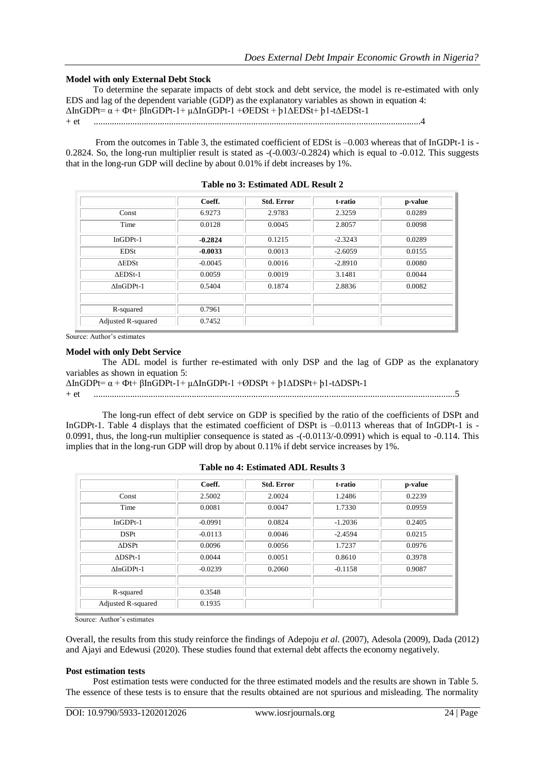## **Model with only External Debt Stock**

 To determine the separate impacts of debt stock and debt service, the model is re-estimated with only EDS and lag of the dependent variable (GDP) as the explanatory variables as shown in equation 4: ΔInGDPt= α + Фt+ βInGDPt-1+ µΔInGDPt-1 +ØEDSt + þ1ΔEDSt+ þ1-tΔEDSt-1

```
+ et ...............................................................................................................................................4
```
 From the outcomes in Table 3, the estimated coefficient of EDSt is –0.003 whereas that of InGDPt-1 is - 0.2824. So, the long-run multiplier result is stated as -(-0.003/-0.2824) which is equal to -0.012. This suggests that in the long-run GDP will decline by about 0.01% if debt increases by 1%.

|                    | Coeff.    | <b>Std. Error</b> | t-ratio   | p-value |
|--------------------|-----------|-------------------|-----------|---------|
| Const              | 6.9273    | 2.9783            | 2.3259    | 0.0289  |
| Time               | 0.0128    | 0.0045            | 2.8057    | 0.0098  |
| $InGDPt-1$         | $-0.2824$ | 0.1215            | $-2.3243$ | 0.0289  |
| <b>EDSt</b>        | $-0.0033$ | 0.0013            | $-2.6059$ | 0.0155  |
| $\Delta$ EDSt      | $-0.0045$ | 0.0016            | $-2.8910$ | 0.0080  |
| $\triangle EDSt-1$ | 0.0059    | 0.0019            | 3.1481    | 0.0044  |
| $\Delta In GDPt-1$ | 0.5404    | 0.1874            | 2.8836    | 0.0082  |
|                    |           |                   |           |         |
| R-squared          | 0.7961    |                   |           |         |
| Adjusted R-squared | 0.7452    |                   |           |         |

| Table no 3: Estimated ADL Result 2 |  |  |  |  |
|------------------------------------|--|--|--|--|
|------------------------------------|--|--|--|--|

Source: Author's estimates

#### **Model with only Debt Service**

 The ADL model is further re-estimated with only DSP and the lag of GDP as the explanatory variables as shown in equation 5:

```
ΔInGDPt= α + Фt+ βInGDPt-1+ µΔInGDPt-1 +ØDSPt + þ1ΔDSPt+ þ1-tΔDSPt-1
```
+ et ..............................................................................................................................................................5

 The long-run effect of debt service on GDP is specified by the ratio of the coefficients of DSPt and InGDPt-1. Table 4 displays that the estimated coefficient of DSPt is -0.0113 whereas that of InGDPt-1 is -0.0991, thus, the long-run multiplier consequence is stated as  $-(-0.0113/0.0991)$  which is equal to  $-0.114$ . This implies that in the long-run GDP will drop by about 0.11% if debt service increases by 1%.

|                    | Coeff.    | <b>Std. Error</b> | t-ratio   | p-value |
|--------------------|-----------|-------------------|-----------|---------|
| Const              | 2.5002    | 2.0024            | 1.2486    | 0.2239  |
| Time               | 0.0081    | 0.0047            | 1.7330    | 0.0959  |
| $InGDPt-1$         | $-0.0991$ | 0.0824            | $-1.2036$ | 0.2405  |
| <b>DSPt</b>        | $-0.0113$ | 0.0046            | $-2.4594$ | 0.0215  |
| $\triangle$ DSPt   | 0.0096    | 0.0056            | 1.7237    | 0.0976  |
| $\triangle$ DSPt-1 | 0.0044    | 0.0051            | 0.8610    | 0.3978  |
| $\Delta InGDPt-1$  | $-0.0239$ | 0.2060            | $-0.1158$ | 0.9087  |
|                    |           |                   |           |         |
| R-squared          | 0.3548    |                   |           |         |
| Adjusted R-squared | 0.1935    |                   |           |         |

**Table no 4: Estimated ADL Results 3**

Source: Author's estimates

Overall, the results from this study reinforce the findings of Adepoju *et al*. (2007), Adesola (2009), Dada (2012) and Ajayi and Edewusi (2020). These studies found that external debt affects the economy negatively.

#### **Post estimation tests**

 Post estimation tests were conducted for the three estimated models and the results are shown in Table 5. The essence of these tests is to ensure that the results obtained are not spurious and misleading. The normality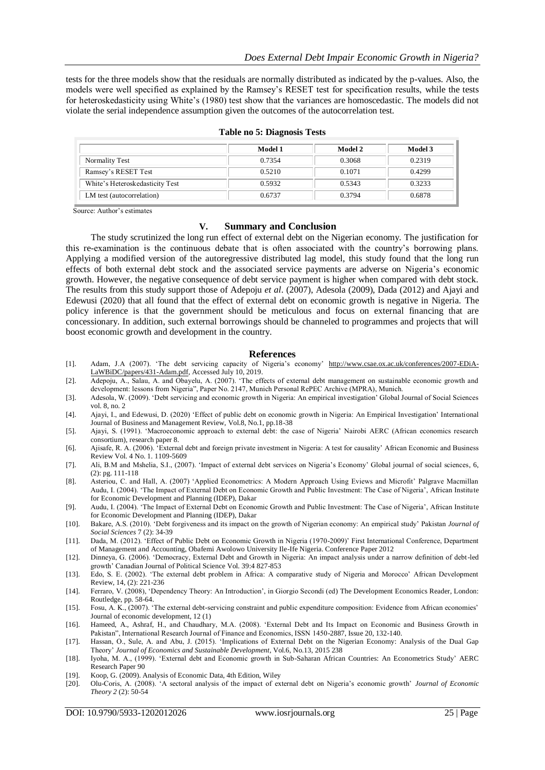tests for the three models show that the residuals are normally distributed as indicated by the p-values. Also, the models were well specified as explained by the Ramsey's RESET test for specification results, while the tests for heteroskedasticity using White's (1980) test show that the variances are homoscedastic. The models did not violate the serial independence assumption given the outcomes of the autocorrelation test.

|                                 | Model 1 | Model 2 | Model 3 |
|---------------------------------|---------|---------|---------|
| Normality Test                  | 0.7354  | 0.3068  | 0.2319  |
| Ramsey's RESET Test             | 0.5210  | 0.1071  | 0.4299  |
| White's Heteroskedasticity Test | 0.5932  | 0.5343  | 0.3233  |
| LM test (autocorrelation)       | 0.6737  | 0.3794  | 0.6878  |

Source: Author's estimates

#### **V. Summary and Conclusion**

 The study scrutinized the long run effect of external debt on the Nigerian economy. The justification for this re-examination is the continuous debate that is often associated with the country's borrowing plans. Applying a modified version of the autoregressive distributed lag model, this study found that the long run effects of both external debt stock and the associated service payments are adverse on Nigeria's economic growth. However, the negative consequence of debt service payment is higher when compared with debt stock. The results from this study support those of Adepoju *et al*. (2007), Adesola (2009), Dada (2012) and Ajayi and Edewusi (2020) that all found that the effect of external debt on economic growth is negative in Nigeria. The policy inference is that the government should be meticulous and focus on external financing that are concessionary. In addition, such external borrowings should be channeled to programmes and projects that will boost economic growth and development in the country.

#### **References**

- [1]. Adam, J.A (2007). 'The debt servicing capacity of Nigeria's economy' [http://www.csae.ox.ac.uk/conferences/2007-EDiA-](http://www.csae.ox.ac.uk/conferences/2007-EDiA-LaWBiDC/papers/431-Adam.pdf)[LaWBiDC/papers/431-Adam.pdf,](http://www.csae.ox.ac.uk/conferences/2007-EDiA-LaWBiDC/papers/431-Adam.pdf) Accessed July 10, 2019.
- [2]. Adepoju, A., Salau, A. and Obayelu, A. (2007). 'The effects of external debt management on sustainable economic growth and development: lessons from Nigeria", Paper No. 2147, Munich Personal RePEC Archive (MPRA), Munich.
- [3]. Adesola, W. (2009). 'Debt servicing and economic growth in Nigeria: An empirical investigation' Global Journal of Social Sciences vol. 8, no. 2
- [4]. Ajayi, I., and Edewusi, D. (2020) 'Effect of public debt on economic growth in Nigeria: An Empirical Investigation' International Journal of Business and Management Review, Vol.8, No.1, pp.18-38
- [5]. Ajayi, S. (1991). 'Macroeconomic approach to external debt: the case of Nigeria' Nairobi AERC (African economics research consortium), research paper 8.
- [6]. Ajisafe, R. A. (2006). 'External debt and foreign private investment in Nigeria: A test for causality' African Economic and Business Review Vol. 4 No. 1. 1109-5609
- [7]. Ali, B.M and Mshelia, S.I., (2007). 'Impact of external debt services on Nigeria's Economy' Global journal of social sciences, 6, (2): pg. 111-118
- [8]. Asteriou, C. and Hall, A. (2007) 'Applied Econometrics: A Modern Approach Using Eviews and Microfit' Palgrave Macmillan Audu, I. (2004). 'The Impact of External Debt on Economic Growth and Public Investment: The Case of Nigeria', African Institute for Economic Development and Planning (IDEP), Dakar
- [9]. Audu, I. (2004). 'The Impact of External Debt on Economic Growth and Public Investment: The Case of Nigeria', African Institute for Economic Development and Planning (IDEP), Dakar
- [10]. Bakare, A.S. (2010). 'Debt forgiveness and its impact on the growth of Nigerian economy: An empirical study' Pakistan *Journal of Social Sciences* 7 (2): 34-39
- [11]. Dada, M. (2012). 'Effect of Public Debt on Economic Growth in Nigeria (1970-2009)' First International Conference, Department of Management and Accounting, Obafemi Awolowo University Ile-Ife Nigeria. Conference Paper 2012
- [12]. Dinneya, G. (2006). 'Democracy, External Debt and Growth in Nigeria: An impact analysis under a narrow definition of debt-led growth' Canadian Journal of Political Science Vol. 39:4 827-853
- [13]. Edo, S. E. (2002). 'The external debt problem in Africa: A comparative study of Nigeria and Morocco' African Development Review, 14, (2): 221-236
- [14]. Ferraro, V. (2008), 'Dependency Theory: An Introduction', in Giorgio Secondi (ed) The Development Economics Reader, London: Routledge, pp. 58-64.
- [15]. Fosu, A. K., (2007). 'The external debt-servicing constraint and public expenditure composition: Evidence from African economies' Journal of economic development, 12 (1)
- [16]. Hameed, A., Ashraf, H., and Chaudhary, M.A. (2008). 'External Debt and Its Impact on Economic and Business Growth in Pakistan", International Research Journal of Finance and Economics, ISSN 1450-2887, Issue 20, 132-140.
- [17]. Hassan, O., Sule, A. and Abu, J. (2015). 'Implications of External Debt on the Nigerian Economy: Analysis of the Dual Gap Theory' *Journal of Economics and Sustainable Development*, Vol.6, No.13, 2015 238
- [18]. Iyoha, M. A., (1999). 'External debt and Economic growth in Sub-Saharan African Countries: An Econometrics Study' AERC Research Paper 90
- [19]. Koop, G. (2009). Analysis of Economic Data, 4th Edition, Wiley
- [20]. Olu-Coris, A. (2008). 'A sectoral analysis of the impact of external debt on Nigeria's economic growth' *Journal of Economic Theory 2* (2): 50-54